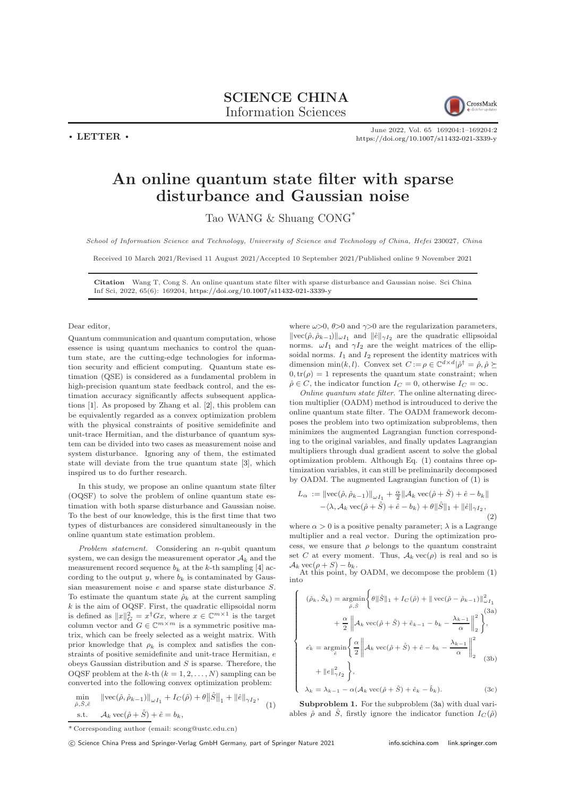SCIENCE CHINA Information Sciences



 $\cdot$  LETTER  $\cdot$ 

June 2022, Vol. 65 169204:1–169204[:2](#page-1-0) <https://doi.org/10.1007/s11432-021-3339-y>

## An online quantum state filter with sparse disturbance and Gaussian noise

Tao WANG & Shuang CONG\*

School of Information Science and Technology, University of Science and Technology of China, Hefei 230027, China

Received 10 March 2021/Revised 11 August 2021/Accepted 10 September 2021/Published online 9 November 2021

Citation Wang T, Cong S. An online quantum state filter with sparse disturbance and Gaussian noise. Sci China Inf Sci, 2022, 65(6): 169204, <https://doi.org/10.1007/s11432-021-3339-y>

 $\sqrt{ }$ 

 $\begin{array}{c} \hline \end{array}$ 

## Dear editor,

Quantum communication and quantum computation, whose essence is using quantum mechanics to control the quantum state, are the cutting-edge technologies for information security and efficient computing. Quantum state estimation (QSE) is considered as a fundamental problem in high-precision quantum state feedback control, and the estimation accuracy significantly affects subsequent applications [\[1\]](#page-1-1). As proposed by Zhang et al. [\[2\]](#page-1-2), this problem can be equivalently regarded as a convex optimization problem with the physical constraints of positive semidefinite and unit-trace Hermitian, and the disturbance of quantum system can be divided into two cases as measurement noise and system disturbance. Ignoring any of them, the estimated state will deviate from the true quantum state [\[3\]](#page-1-3), which inspired us to do further research.

In this study, we propose an online quantum state filter (OQSF) to solve the problem of online quantum state estimation with both sparse disturbance and Gaussian noise. To the best of our knowledge, this is the first time that two types of disturbances are considered simultaneously in the online quantum state estimation problem.

Problem statement. Considering an n-qubit quantum system, we can design the measurement operator  $A_k$  and the measurement record sequence  $b_k$  at the k-th sampling [\[4\]](#page-1-4) according to the output  $y$ , where  $b_k$  is contaminated by Gaussian measurement noise e and sparse state disturbance S. To estimate the quantum state  $\rho_k$  at the current sampling  $k$  is the aim of OQSF. First, the quadratic ellipsoidal norm is defined as  $||x||_G^2 = x^{\dagger} Gx$ , where  $x \in \mathbb{C}^{m \times 1}$  is the target column vector and  $G \in \mathbb{C}^{m \times m}$  is a symmetric positive matrix, which can be freely selected as a weight matrix. With prior knowledge that  $\rho_k$  is complex and satisfies the constraints of positive semidefinite and unit-trace Hermitian, e obeys Gaussian distribution and S is sparse. Therefore, the OQSF problem at the k-th  $(k = 1, 2, ..., N)$  sampling can be converted into the following convex optimization problem:

<span id="page-0-0"></span>
$$
\min_{\hat{\rho}, \hat{S}, \hat{e}} \|\text{vec}(\hat{\rho}, \hat{\rho}_{k-1})\|_{\omega I_1} + I_C(\hat{\rho}) + \theta \|\hat{S}\|_1 + \|\hat{e}\|_{\gamma I_2},
$$
\n
$$
\text{s.t.} \quad \mathcal{A}_k \text{vec}(\hat{\rho} + \hat{S}) + \hat{e} = b_k,
$$
\n
$$
(1)
$$

where  $\omega > 0$ ,  $\theta > 0$  and  $\gamma > 0$  are the regularization parameters,  $\|\text{vec}(\hat{\rho}, \hat{\rho}_{k-1})\|_{\omega I_1}$  and  $\|\hat{e}\|_{\gamma I_2}$  are the quadratic ellipsoidal norms.  $\omega I_1$  and  $\gamma I_2$  are the weight matrices of the ellipsoidal norms.  $I_1$  and  $I_2$  represent the identity matrices with dimension min(k, l). Convex set  $C := \rho \in \mathbb{C}^{d \times d} | \hat{\rho}^{\dagger} = \hat{\rho}, \hat{\rho} \succeq$  $0, \text{tr}(\rho) = 1$  represents the quantum state constraint; when  $\hat{\rho} \in C$ , the indicator function  $I_C = 0$ , otherwise  $I_C = \infty$ .

Online quantum state filter. The online alternating direction multiplier (OADM) method is introuduced to derive the online quantum state filter. The OADM framework decomposes the problem into two optimization subproblems, then minimizes the augmented Lagrangian function corresponding to the original variables, and finally updates Lagrangian multipliers through dual gradient ascent to solve the global optimization problem. Although Eq. [\(1\)](#page-0-0) contains three optimization variables, it can still be preliminarily decomposed by OADM. The augmented Lagrangian function of [\(1\)](#page-0-0) is

$$
L_{\alpha} := \|\text{vec}(\hat{\rho}, \hat{\rho}_{k-1})\|_{\omega I_1} + \frac{\alpha}{2} \|\mathcal{A}_k \text{vec}(\hat{\rho} + \hat{S}) + \hat{e} - b_k\| - \langle \lambda, \mathcal{A}_k \text{vec}(\hat{\rho} + \hat{S}) + \hat{e} - b_k \rangle + \theta \|\hat{S}\|_1 + \|\hat{e}\|_{\gamma I_2},
$$
(2)

where  $\alpha > 0$  is a positive penalty parameter;  $\lambda$  is a Lagrange multiplier and a real vector. During the optimization process, we ensure that  $\rho$  belongs to the quantum constraint set C at every moment. Thus,  $A_k$  vec $(\rho)$  is real and so is  $\mathcal{A}_k \text{vec}(\rho + S) - b_k.$ 

At this point, by OADM, we decompose the problem  $(1)$ into

<span id="page-0-1"></span>
$$
(\hat{\rho}_k, \hat{S}_k) = \underset{\hat{\rho}, \hat{S}}{\operatorname{argmin}} \left\{ \theta \|\hat{S}\|_1 + I_C(\hat{\rho}) + \|\operatorname{vec}(\hat{\rho} - \hat{\rho}_{k-1})\|_{\omega I_1}^2 + \frac{\alpha}{2} \left\| A_k \operatorname{vec}(\hat{\rho} + \hat{S}) + \hat{e}_{k-1} - b_k - \frac{\lambda_{k-1}}{\alpha} \right\|_2^2 \right\},\
$$
  

$$
\hat{e}_k = \underset{\hat{e}}{\operatorname{argmin}} \left\{ \frac{\alpha}{2} \left\| A_k \operatorname{vec}(\hat{\rho} + \hat{S}) + \hat{e} - b_k - \frac{\lambda_{k-1}}{\alpha} \right\|_2^2 + \frac{\alpha}{2} \left\| \frac{\lambda_{k-1}}{\lambda_{k-1}} \right\|_2^2 + \frac{\alpha}{2} \left\| \frac{\lambda_{k-1}}{\lambda_{k-1}} \right\|_2^2 + \frac{\alpha}{2} \left\| \frac{\lambda_{k-1}}{\lambda_{k-1}} \right\|_2^2 + \frac{\alpha}{2} \left\| \frac{\lambda_{k-1}}{\lambda_{k-1}} \right\|_2^2 + \frac{\alpha}{2} \left\| \frac{\lambda_{k-1}}{\lambda_{k-1}} \right\|_2^2 + \frac{\alpha}{2} \left\| \frac{\lambda_{k-1}}{\lambda_{k-1}} \right\|_2^2 + \frac{\alpha}{2} \left\| \frac{\lambda_{k-1}}{\lambda_{k-1}} \right\|_2^2 + \frac{\alpha}{2} \left\| \frac{\lambda_{k-1}}{\lambda_{k-1}} \right\|_2^2 + \frac{\alpha}{2} \left\| \frac{\lambda_{k-1}}{\lambda_{k-1}} \right\|_2^2 + \frac{\alpha}{2} \left\| \frac{\lambda_{k-1}}{\lambda_{k-1}} \right\|_2^2 + \frac{\alpha}{2} \left\| \frac{\lambda_{k-1}}{\lambda_{k-1}} \right\|_2^2 + \frac{\alpha}{2} \left\| \frac{\lambda_{k-1}}{\lambda_{k-1}} \right\|_2^2 + \frac{\alpha}{2} \left\| \frac{\lambda_{k-1}}{\lambda_{k-1}} \right\|_2^2 + \frac{\alpha}{2} \left\| \frac{\lambda_{k-1}}{\lambda_{k-1}} \right\|_2
$$

$$
\begin{vmatrix} \n\epsilon_k - \arg\min_{\hat{e}} \n\epsilon_k^2 \n\end{vmatrix} = \n\begin{vmatrix} \n\lambda_k \sec(\rho + \beta) + \epsilon - \nu_k - \n\alpha & \lambda_k = \n\lambda_{k-1} - \alpha(\lambda_k \sec(\hat{\rho} + \hat{S}) + \hat{e}_k - \hat{b}_k).\n\end{vmatrix} \n\tag{3c}
$$

Subproblem 1. For the subproblem  $(3a)$  with dual variables  $\hat{\rho}$  and  $\hat{S}$ , firstly ignore the indicator function  $I_C(\hat{\rho})$ 

<sup>\*</sup> Corresponding author (email: scong@ustc.edu.cn)

<sup>(</sup>C) Science China Press and Springer-Verlag GmbH Germany, part of Springer Nature 2021 <info.scichina.com><link.springer.com>